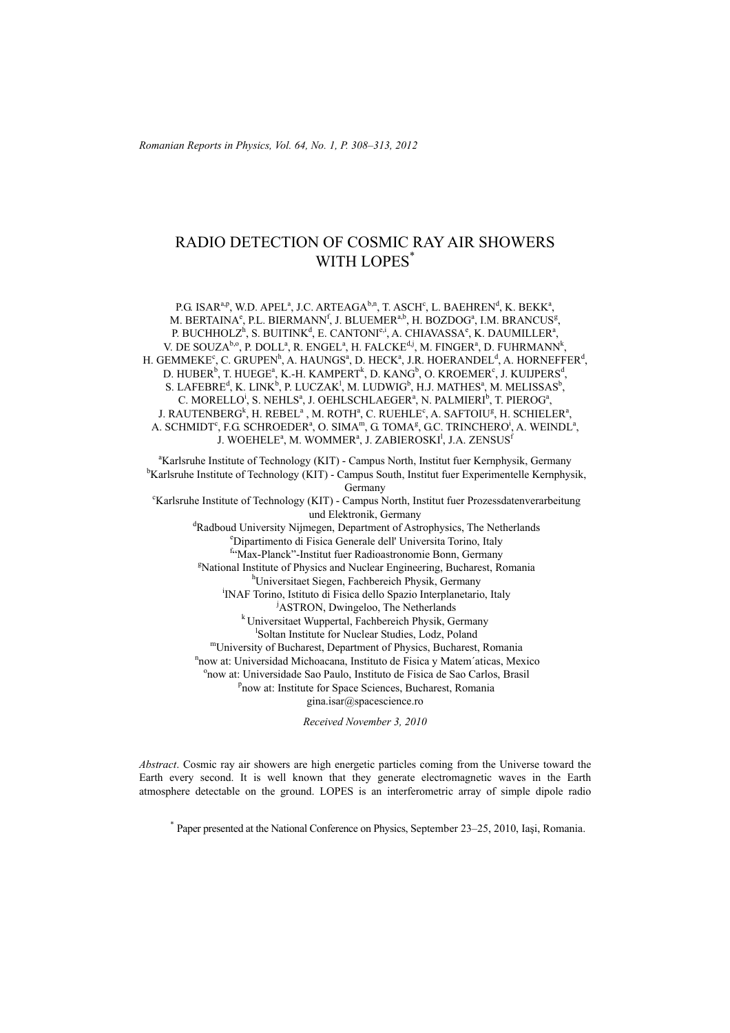# RADIO DETECTION OF COSMIC RAY AIR SHOWERS WITH LOPES<sup>\*</sup>

P.G. ISAR<sup>a,p</sup>, W.D. APEL<sup>a</sup>, J.C. ARTEAGA<sup>b,n</sup>, T. ASCH<sup>c</sup>, L. BAEHREN<sup>d</sup>, K. BEKK<sup>a</sup>, M. BERTAINA<sup>e</sup>, P.L. BIERMANN<sup>f</sup>, J. BLUEMER<sup>a,b</sup>, H. BOZDOG<sup>a</sup>, I.M. BRANCUS<sup>g</sup>, P. BUCHHOLZ<sup>h</sup>, S. BUITINK<sup>d</sup>, E. CANTONI<sup>e,i</sup>, A. CHIAVASSA<sup>e</sup>, K. DAUMILLER<sup>a</sup>, V. DE SOUZA<sup>b,o</sup>, P. DOLL<sup>a</sup>, R. ENGEL<sup>a</sup>, H. FALCKE<sup>d,j</sup>, M. FINGER<sup>a</sup>, D. FUHRMANN<sup>k</sup>, H. GEMMEKE<sup>c</sup>, C. GRUPEN<sup>h</sup>, A. HAUNGS<sup>a</sup>, D. HECK<sup>a</sup>, J.R. HOERANDEL<sup>d</sup>, A. HORNEFFER<sup>d</sup>, D. HUBER<sup>b</sup>, T. HUEGE<sup>a</sup>, K.-H. KAMPERT<sup>k</sup>, D. KANG<sup>b</sup>, O. KROEMER<sup>c</sup>, J. KUIJPERS<sup>d</sup>, S. LAFEBRE<sup>d</sup>, K. LINK<sup>b</sup>, P. LUCZAK<sup>1</sup>, M. LUDWIG<sup>b</sup>, H.J. MATHES<sup>a</sup>, M. MELISSAS<sup>b</sup>, C. MORELLO<sup>i</sup>, S. NEHLS<sup>a</sup>, J. OEHLSCHLAEGER<sup>a</sup>, N. PALMIERI<sup>b</sup>, T. PIEROG<sup>a</sup>, J. RAUTENBERG<sup>k</sup>, H. REBEL<sup>a</sup>, M. ROTH<sup>a</sup>, C. RUEHLE<sup>c</sup>, A. SAFTOIU<sup>g</sup>, H. SCHIELER<sup>a</sup>, A. SCHMIDT<sup>c</sup>, F.G. SCHROEDER<sup>a</sup>, O. SIMA<sup>m</sup>, G. TOMA<sup>g</sup>, G.C. TRINCHERO<sup>i</sup>, A. WEINDL<sup>a</sup>, J. WOEHELEª, M. WOMMERª, J. ZABIEROSKI<sup>l</sup>, J.A. ZENSUS<sup>f</sup>

<sup>a</sup>Karlsruhe Institute of Technology (KIT) - Campus North, Institut fuer Kernphysik, Germany<br><sup>b</sup>Karlsruhe Institute of Technology (KIT) - Campus South, Institut fuer Eunerinentalle Kernphysi <sup>b</sup>Karlsruhe Institute of Technology (KIT) - Campus South, Institut fuer Experimentelle Kernphysik, Germany<br>Karlsruhe Institute of Technology (KIT) - Campus North, Institut fuer Prozessdatenverarbeitung<sup>-</sup> und Elektronik, Germany<br><sup>d</sup>Bedboud University Nijmegen, Department of Astro Radboud University Nijmegen, Department of Astrophysics, The Netherlands<br><sup>e</sup>Dinestimente di Fisice Cenerals dell'Universite Terine, Italy Dipartimento di Fisica Generale dell' Universita Torino, Italy <sup>f</sup> Max-Planck"-Institut fuer Radioastronomie Bonn, Germany<br><sup>EN</sup>otional Institute of Physics and Nuglear Engineering, Bucharast, Be <sup>8</sup>National Institute of Physics and Nuclear Engineering, Bucharest, Romania Universitaet Siegen, Fachbereich Physik, Germany i <sup>i</sup>INAF Torino, Istituto di Fisica dello Spazio Interplanetario, Italy <sup>j</sup>ASTRON, Dwingeloo, The Netherlands <sup>k</sup> Universitaet Wuppertal, Fachbereich Physik, Germany <sup>1</sup>Soltan Institute for Nuclear Studies, Lodz, Poland <sup>m</sup>University of Bucharest, Department of Physics, Bucharest, Romania <sup>n</sup>now at: Universidad Michoacana, Instituto de Fisica y Matem´aticas, Mexico now at: Universidade Sao Paulo, Instituto de Fisica de Sao Carlos, Brasil p <sup>P</sup>now at: Institute for Space Sciences, Bucharest, Romania gina.isar@spacescience.ro *Received November 3, 2010* 

*Abstract*. Cosmic ray air showers are high energetic particles coming from the Universe toward the Earth every second. It is well known that they generate electromagnetic waves in the Earth atmosphere detectable on the ground. LOPES is an interferometric array of simple dipole radio

\* Paper presented at the National Conference on Physics, September 23–25, 2010, Iaşi, Romania.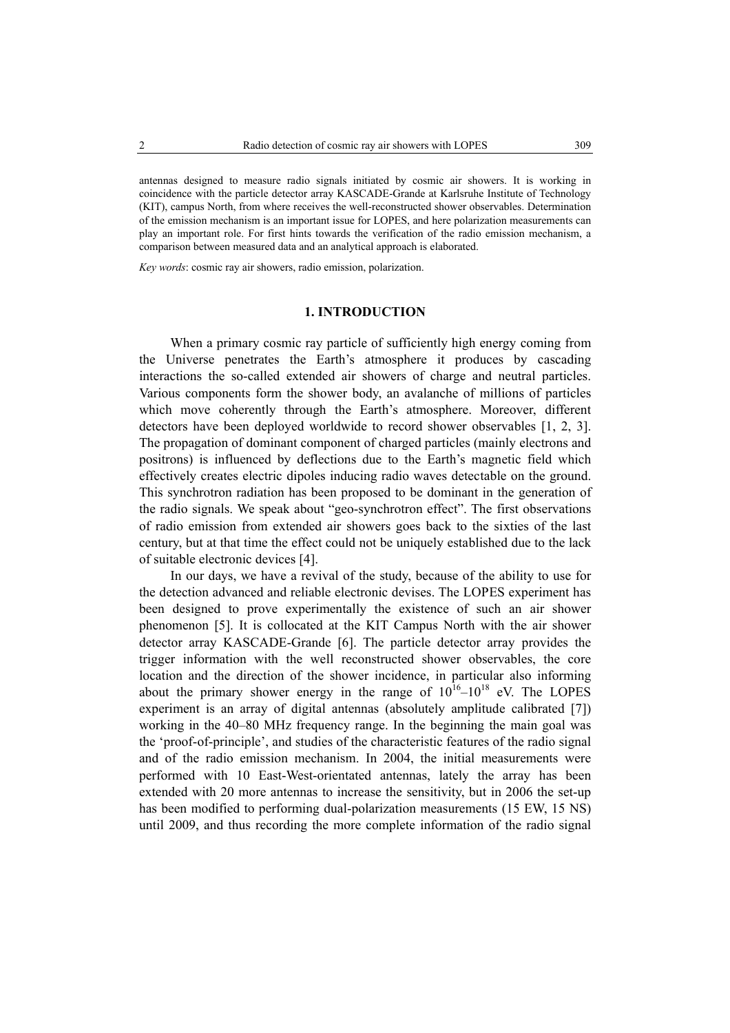antennas designed to measure radio signals initiated by cosmic air showers. It is working in coincidence with the particle detector array KASCADE-Grande at Karlsruhe Institute of Technology (KIT), campus North, from where receives the well-reconstructed shower observables. Determination of the emission mechanism is an important issue for LOPES, and here polarization measurements can play an important role. For first hints towards the verification of the radio emission mechanism, a comparison between measured data and an analytical approach is elaborated.

*Key words*: cosmic ray air showers, radio emission, polarization.

#### **1. INTRODUCTION**

When a primary cosmic ray particle of sufficiently high energy coming from the Universe penetrates the Earth's atmosphere it produces by cascading interactions the so-called extended air showers of charge and neutral particles. Various components form the shower body, an avalanche of millions of particles which move coherently through the Earth's atmosphere. Moreover, different detectors have been deployed worldwide to record shower observables [1, 2, 3]. The propagation of dominant component of charged particles (mainly electrons and positrons) is influenced by deflections due to the Earth's magnetic field which effectively creates electric dipoles inducing radio waves detectable on the ground. This synchrotron radiation has been proposed to be dominant in the generation of the radio signals. We speak about "geo-synchrotron effect". The first observations of radio emission from extended air showers goes back to the sixties of the last century, but at that time the effect could not be uniquely established due to the lack of suitable electronic devices [4].

In our days, we have a revival of the study, because of the ability to use for the detection advanced and reliable electronic devises. The LOPES experiment has been designed to prove experimentally the existence of such an air shower phenomenon [5]. It is collocated at the KIT Campus North with the air shower detector array KASCADE-Grande [6]. The particle detector array provides the trigger information with the well reconstructed shower observables, the core location and the direction of the shower incidence, in particular also informing about the primary shower energy in the range of  $10^{16}$ – $10^{18}$  eV. The LOPES experiment is an array of digital antennas (absolutely amplitude calibrated [7]) working in the 40–80 MHz frequency range. In the beginning the main goal was the 'proof-of-principle', and studies of the characteristic features of the radio signal and of the radio emission mechanism. In 2004, the initial measurements were performed with 10 East-West-orientated antennas, lately the array has been extended with 20 more antennas to increase the sensitivity, but in 2006 the set-up has been modified to performing dual-polarization measurements (15 EW, 15 NS) until 2009, and thus recording the more complete information of the radio signal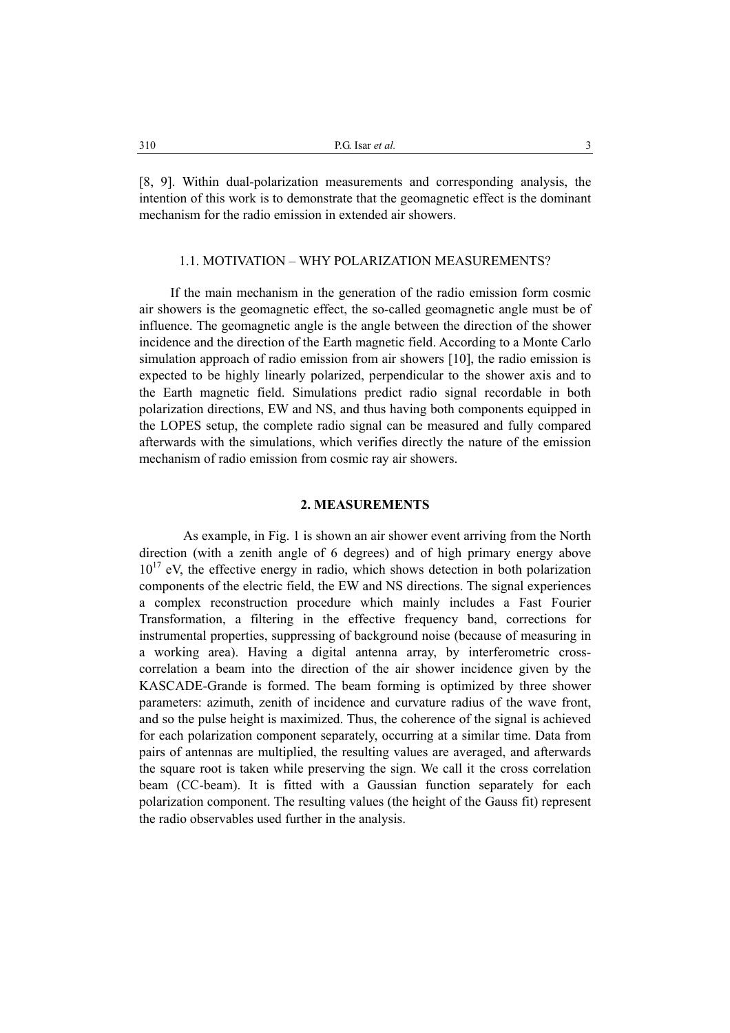[8, 9]. Within dual-polarization measurements and corresponding analysis, the intention of this work is to demonstrate that the geomagnetic effect is the dominant mechanism for the radio emission in extended air showers.

### 1.1. MOTIVATION – WHY POLARIZATION MEASUREMENTS?

If the main mechanism in the generation of the radio emission form cosmic air showers is the geomagnetic effect, the so-called geomagnetic angle must be of influence. The geomagnetic angle is the angle between the direction of the shower incidence and the direction of the Earth magnetic field. According to a Monte Carlo simulation approach of radio emission from air showers [10], the radio emission is expected to be highly linearly polarized, perpendicular to the shower axis and to the Earth magnetic field. Simulations predict radio signal recordable in both polarization directions, EW and NS, and thus having both components equipped in the LOPES setup, the complete radio signal can be measured and fully compared afterwards with the simulations, which verifies directly the nature of the emission mechanism of radio emission from cosmic ray air showers.

### **2. MEASUREMENTS**

As example, in Fig. 1 is shown an air shower event arriving from the North direction (with a zenith angle of 6 degrees) and of high primary energy above  $10^{17}$  eV, the effective energy in radio, which shows detection in both polarization components of the electric field, the EW and NS directions. The signal experiences a complex reconstruction procedure which mainly includes a Fast Fourier Transformation, a filtering in the effective frequency band, corrections for instrumental properties, suppressing of background noise (because of measuring in a working area). Having a digital antenna array, by interferometric crosscorrelation a beam into the direction of the air shower incidence given by the KASCADE-Grande is formed. The beam forming is optimized by three shower parameters: azimuth, zenith of incidence and curvature radius of the wave front, and so the pulse height is maximized. Thus, the coherence of the signal is achieved for each polarization component separately, occurring at a similar time. Data from pairs of antennas are multiplied, the resulting values are averaged, and afterwards the square root is taken while preserving the sign. We call it the cross correlation beam (CC-beam). It is fitted with a Gaussian function separately for each polarization component. The resulting values (the height of the Gauss fit) represent the radio observables used further in the analysis.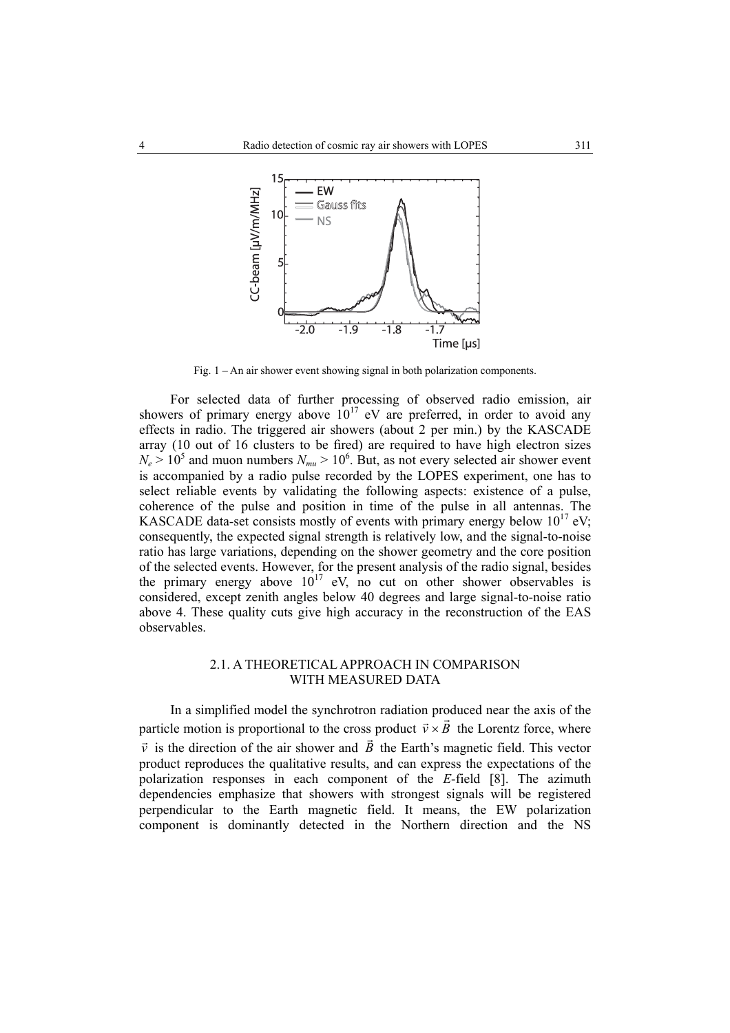

Fig. 1 – An air shower event showing signal in both polarization components.

For selected data of further processing of observed radio emission, air showers of primary energy above  $10^{17}$  eV are preferred, in order to avoid any effects in radio. The triggered air showers (about 2 per min.) by the KASCADE array (10 out of 16 clusters to be fired) are required to have high electron sizes  $N_e > 10^5$  and muon numbers  $N_{mu} > 10^6$ . But, as not every selected air shower event is accompanied by a radio pulse recorded by the LOPES experiment, one has to select reliable events by validating the following aspects: existence of a pulse, coherence of the pulse and position in time of the pulse in all antennas. The KASCADE data-set consists mostly of events with primary energy below  $10^{17}$  eV; consequently, the expected signal strength is relatively low, and the signal-to-noise ratio has large variations, depending on the shower geometry and the core position of the selected events. However, for the present analysis of the radio signal, besides the primary energy above  $10^{17}$  eV, no cut on other shower observables is considered, except zenith angles below 40 degrees and large signal-to-noise ratio above 4. These quality cuts give high accuracy in the reconstruction of the EAS observables.

## 2.1. A THEORETICAL APPROACH IN COMPARISON WITH MEASURED DATA

 In a simplified model the synchrotron radiation produced near the axis of the particle motion is proportional to the cross product  $\vec{v} \times \vec{B}$  the Lorentz force, where  $\vec{v}$  is the direction of the air shower and  $\vec{B}$  the Earth's magnetic field. This vector product reproduces the qualitative results, and can express the expectations of the polarization responses in each component of the *E*-field [8]. The azimuth dependencies emphasize that showers with strongest signals will be registered perpendicular to the Earth magnetic field. It means, the EW polarization component is dominantly detected in the Northern direction and the NS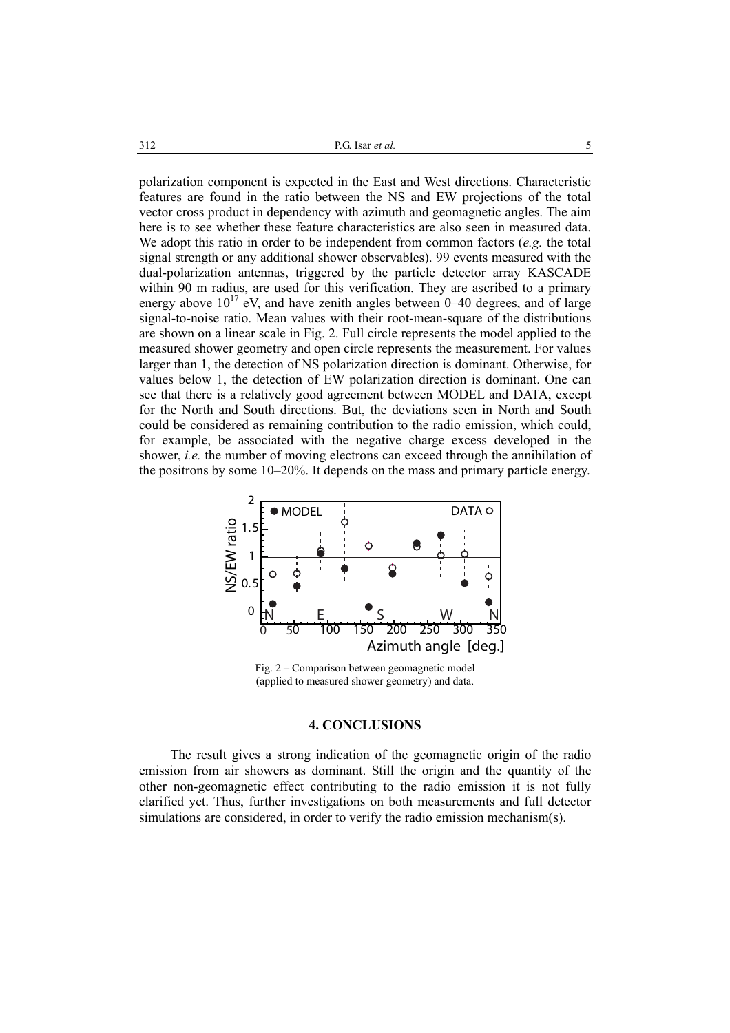polarization component is expected in the East and West directions. Characteristic features are found in the ratio between the NS and EW projections of the total vector cross product in dependency with azimuth and geomagnetic angles. The aim here is to see whether these feature characteristics are also seen in measured data. We adopt this ratio in order to be independent from common factors (*e.g.* the total signal strength or any additional shower observables). 99 events measured with the dual-polarization antennas, triggered by the particle detector array KASCADE within 90 m radius, are used for this verification. They are ascribed to a primary energy above  $10^{17}$  eV, and have zenith angles between 0–40 degrees, and of large signal-to-noise ratio. Mean values with their root-mean-square of the distributions are shown on a linear scale in Fig. 2. Full circle represents the model applied to the measured shower geometry and open circle represents the measurement. For values larger than 1, the detection of NS polarization direction is dominant. Otherwise, for values below 1, the detection of EW polarization direction is dominant. One can see that there is a relatively good agreement between MODEL and DATA, except for the North and South directions. But, the deviations seen in North and South could be considered as remaining contribution to the radio emission, which could, for example, be associated with the negative charge excess developed in the shower, *i.e.* the number of moving electrons can exceed through the annihilation of the positrons by some 10–20%. It depends on the mass and primary particle energy.



Fig. 2 – Comparison between geomagnetic model (applied to measured shower geometry) and data.

#### **4. CONCLUSIONS**

The result gives a strong indication of the geomagnetic origin of the radio emission from air showers as dominant. Still the origin and the quantity of the other non-geomagnetic effect contributing to the radio emission it is not fully clarified yet. Thus, further investigations on both measurements and full detector simulations are considered, in order to verify the radio emission mechanism(s).